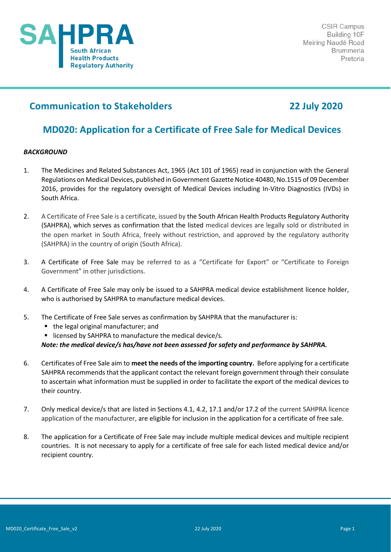

# **Communication to Stakeholders 22 July 2020**

# **MD020: Application for a Certificate of Free Sale for Medical Devices**

## *BACKGROUND*

- 1. The Medicines and Related Substances Act, 1965 (Act 101 of 1965) read in conjunction with the General Regulations on Medical Devices, published in Government Gazette Notice 40480, No.1515 of 09 December 2016, provides for the regulatory oversight of Medical Devices including In-Vitro Diagnostics (IVDs) in South Africa.
- 2. A Certificate of Free Sale is a certificate, issued by the South African Health Products Regulatory Authority (SAHPRA), which serves as confirmation that the listed medical devices are legally sold or distributed in the open market in South Africa, freely without restriction, and approved by the regulatory authority (SAHPRA) in the country of origin (South Africa).
- 3. A Certificate of Free Sale may be referred to as a "Certificate for Export" or "Certificate to Foreign Government" in other jurisdictions.
- 4. A Certificate of Free Sale may only be issued to a SAHPRA medical device establishment licence holder, who is authorised by SAHPRA to manufacture medical devices.
- 5. The Certificate of Free Sale serves as confirmation by SAHPRA that the manufacturer is:
	- the legal original manufacturer; and
	- licensed by SAHPRA to manufacture the medical device/s.

*Note: the medical device/s has/have not been assessed for safety and performance by SAHPRA.*

- 6. Certificates of Free Sale aim to **meet the needs of the importing country.** Before applying for a certificate SAHPRA recommends that the applicant contact the relevant foreign government through their consulate to ascertain what information must be supplied in order to facilitate the export of the medical devices to their country.
- 7. Only medical device/s that are listed in Sections 4.1, 4.2, 17.1 and/or 17.2 of the current SAHPRA licence application of the manufacturer, are eligible for inclusion in the application for a certificate of free sale.
- 8. The application for a Certificate of Free Sale may include multiple medical devices and multiple recipient countries. It is not necessary to apply for a certificate of free sale for each listed medical device and/or recipient country.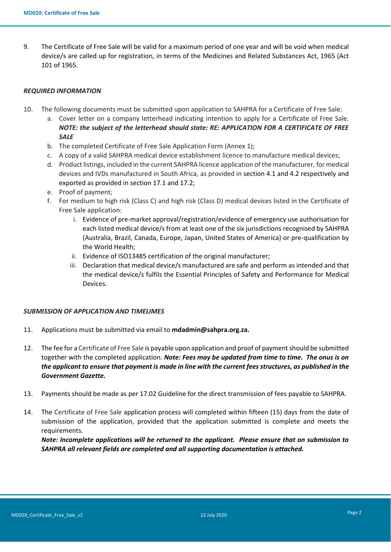9. The Certificate of Free Sale will be valid for a maximum period of one year and will be void when medical device/s are called up for registration, in terms of the Medicines and Related Substances Act, 1965 (Act 101 of 1965.

### *REQUIRED INFORMATION*

- 10. The following documents must be submitted upon application to SAHPRA for a Certificate of Free Sale:
	- a. Cover letter on a company letterhead indicating intention to apply for a Certificate of Free Sale. *NOTE: the subject of the letterhead should state: RE: APPLICATION FOR A CERTIFICATE OF FREE SALE*
	- b. The completed Certificate of Free Sale Application Form (Annex 1);
	- c. A copy of a valid SAHPRA medical device establishment licence to manufacture medical devices;
	- d. Product listings, included in the current SAHPRA licence application of the manufacturer, for medical devices and IVDs manufactured in South Africa, as provided in section 4.1 and 4.2 respectively and exported as provided in section 17.1 and 17.2;
	- e. Proof of payment;
	- f. For medium to high risk (Class C) and high risk (Class D) medical devices listed in the Certificate of Free Sale application:
		- i. Evidence of pre-market approval/registration/evidence of emergency use authorisation for each listed medical device/s from at least one of the six jurisdictions recognised by SAHPRA (Australia, Brazil, Canada, Europe, Japan, United States of America) or pre-qualification by the World Health;
		- ii. Evidence of ISO13485 certification of the original manufacturer;
		- iii. Declaration that medical device/s manufactured are safe and perform as intended and that the medical device/s fulfils the Essential Principles of Safety and Performance for Medical Devices.

### *SUBMISSION OF APPLICATION AND TIMELIMES*

- 11. Applications must be submitted via email to **mdadmin@sahpra.org.za.**
- 12. The fee for a Certificate of Free Sale is payable upon application and proof of payment should be submitted together with the completed application. *Note: Fees may be updated from time to time. The onus is on the applicant to ensure that payment is made in line with the current fees structures, as published in the Government Gazette.*
- 13. Payments should be made as per 17.02 Guideline for the direct transmission of fees payable to SAHPRA.
- 14. The Certificate of Free Sale application process will completed within fifteen (15) days from the date of submission of the application, provided that the application submitted is complete and meets the requirements.

*Note: Incomplete applications will be returned to the applicant. Please ensure that on submission to SAHPRA all relevant fields are completed and all supporting documentation is attached.*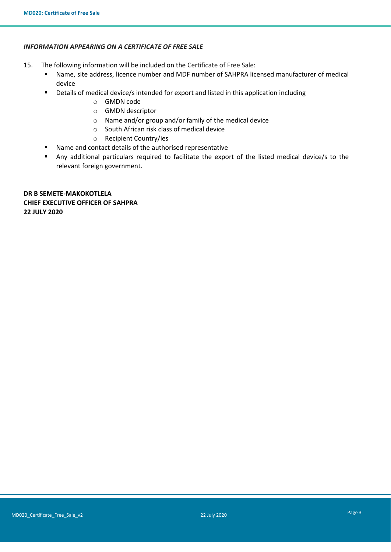## *INFORMATION APPEARING ON A CERTIFICATE OF FREE SALE*

- 15. The following information will be included on the Certificate of Free Sale:
	- Name, site address, licence number and MDF number of SAHPRA licensed manufacturer of medical device
	- Details of medical device/s intended for export and listed in this application including
		- o GMDN code
		- o GMDN descriptor
		- o Name and/or group and/or family of the medical device
		- o South African risk class of medical device
		- o Recipient Country/ies
	- Name and contact details of the authorised representative
	- Any additional particulars required to facilitate the export of the listed medical device/s to the relevant foreign government.

**DR B SEMETE-MAKOKOTLELA CHIEF EXECUTIVE OFFICER OF SAHPRA 22 JULY 2020**